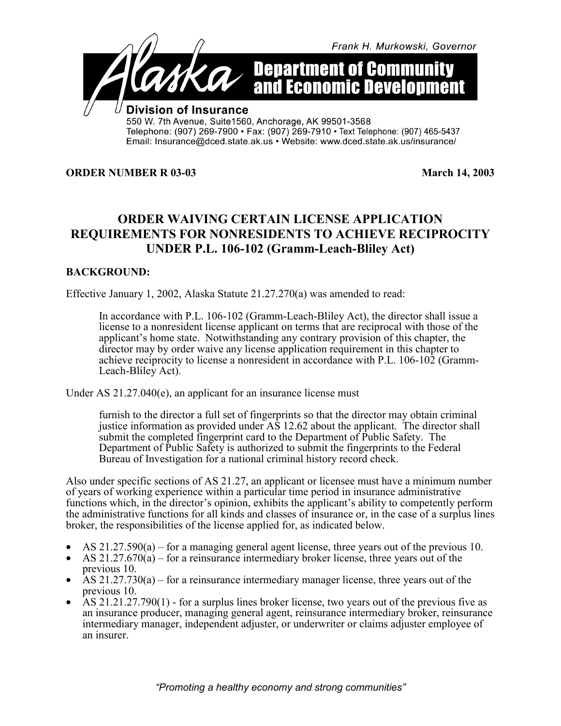

**ORDER NUMBER R 03-03** March 14, 2003

## **ORDER WAIVING CERTAIN LICENSE APPLICATION REQUIREMENTS FOR NONRESIDENTS TO ACHIEVE RECIPROCITY UNDER P.L. 106-102 (Gramm-Leach-Bliley Act)**

## **BACKGROUND:**

Effective January 1, 2002, Alaska Statute 21.27.270(a) was amended to read:

In accordance with P.L. 106-102 (Gramm-Leach-Bliley Act), the director shall issue a license to a nonresident license applicant on terms that are reciprocal with those of the applicant's home state. Notwithstanding any contrary provision of this chapter, the director may by order waive any license application requirement in this chapter to achieve reciprocity to license a nonresident in accordance with P.L. 106-102 (Gramm-Leach-Bliley Act).

Under AS 21.27.040(e), an applicant for an insurance license must

furnish to the director a full set of fingerprints so that the director may obtain criminal justice information as provided under AS 12.62 about the applicant. The director shall submit the completed fingerprint card to the Department of Public Safety. The Department of Public Safety is authorized to submit the fingerprints to the Federal Bureau of Investigation for a national criminal history record check.

Also under specific sections of AS 21.27, an applicant or licensee must have a minimum number of years of working experience within a particular time period in insurance administrative functions which, in the director's opinion, exhibits the applicant's ability to competently perform the administrative functions for all kinds and classes of insurance or, in the case of a surplus lines broker, the responsibilities of the license applied for, as indicated below.

- AS 21.27.590(a) for a managing general agent license, three years out of the previous 10.<br>• AS 21.27.670(a) for a reinsurance intermediary broker license, three years out of the
- previous 10.
- AS  $21.27.730(a)$  for a reinsurance intermediary manager license, three years out of the previous 10.
- AS  $21.21.27.790(1)$  for a surplus lines broker license, two years out of the previous five as an insurance producer, managing general agent, reinsurance intermediary broker, reinsurance intermediary manager, independent adjuster, or underwriter or claims adjuster employee of an insurer.